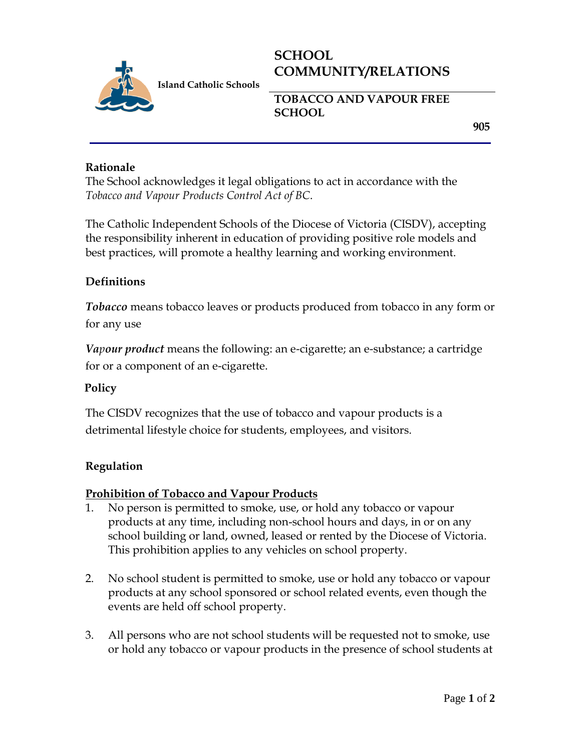

# **SCHOOL COMMUNITY/RELATIONS**

**TOBACCO AND VAPOUR FREE SCHOOL** 

**905**

## **Rationale**

The School acknowledges it legal obligations to act in accordance with the *Tobacco and Vapour Products Control Act of BC*.

The Catholic Independent Schools of the Diocese of Victoria (CISDV), accepting the responsibility inherent in education of providing positive role models and best practices, will promote a healthy learning and working environment.

## **Definitions**

*Tobacco* means tobacco leaves or products produced from tobacco in any form or for any use

*Vapour product* means the following: an e-cigarette; an e-substance; a cartridge for or a component of an e-cigarette.

## **Policy**

The CISDV recognizes that the use of tobacco and vapour products is a detrimental lifestyle choice for students, employees, and visitors.

## **Regulation**

#### **Prohibition of Tobacco and Vapour Products**

- 1. No person is permitted to smoke, use, or hold any tobacco or vapour products at any time, including non-school hours and days, in or on any school building or land, owned, leased or rented by the Diocese of Victoria. This prohibition applies to any vehicles on school property.
- 2. No school student is permitted to smoke, use or hold any tobacco or vapour products at any school sponsored or school related events, even though the events are held off school property.
- 3. All persons who are not school students will be requested not to smoke, use or hold any tobacco or vapour products in the presence of school students at